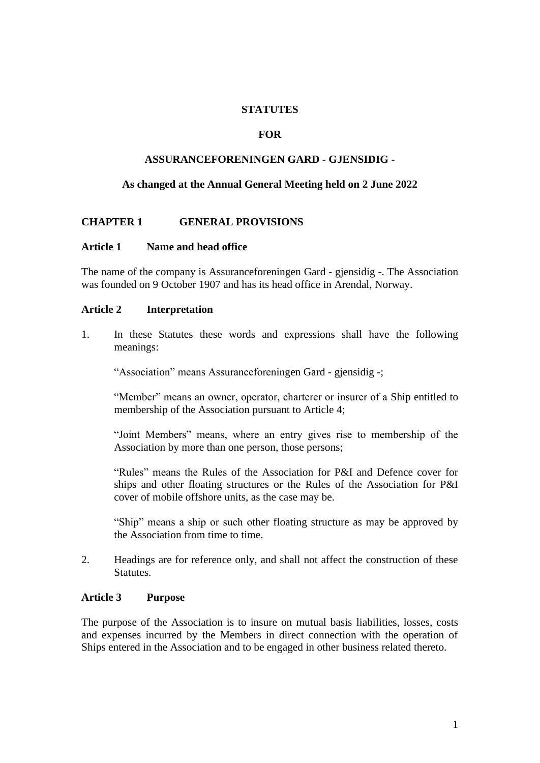## **STATUTES**

## **FOR**

## **ASSURANCEFORENINGEN GARD - GJENSIDIG -**

## **As changed at the Annual General Meeting held on 2 June 2022**

## **CHAPTER 1 GENERAL PROVISIONS**

#### **Article 1 Name and head office**

The name of the company is Assuranceforeningen Gard - gjensidig -. The Association was founded on 9 October 1907 and has its head office in Arendal, Norway.

### **Article 2 Interpretation**

1. In these Statutes these words and expressions shall have the following meanings:

"Association" means Assuranceforeningen Gard - gjensidig -;

"Member" means an owner, operator, charterer or insurer of a Ship entitled to membership of the Association pursuant to Article 4;

"Joint Members" means, where an entry gives rise to membership of the Association by more than one person, those persons;

"Rules" means the Rules of the Association for P&I and Defence cover for ships and other floating structures or the Rules of the Association for P&I cover of mobile offshore units, as the case may be.

"Ship" means a ship or such other floating structure as may be approved by the Association from time to time.

2. Headings are for reference only, and shall not affect the construction of these Statutes.

#### **Article 3 Purpose**

The purpose of the Association is to insure on mutual basis liabilities, losses, costs and expenses incurred by the Members in direct connection with the operation of Ships entered in the Association and to be engaged in other business related thereto.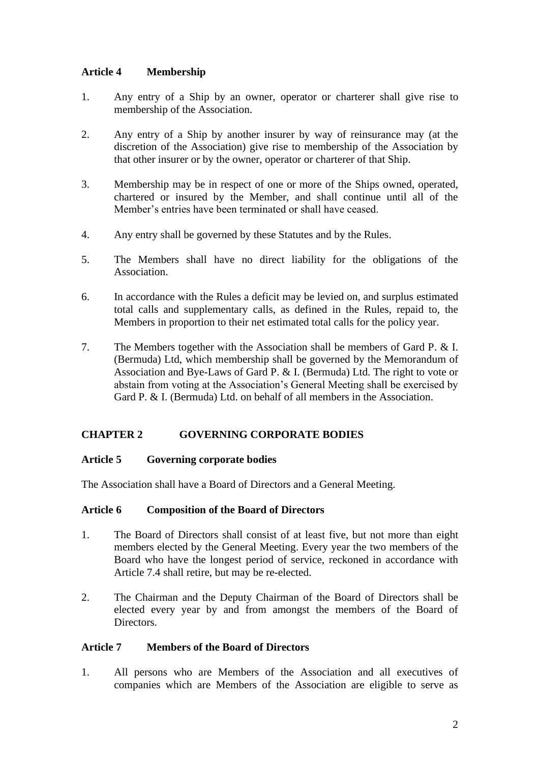# **Article 4 Membership**

- 1. Any entry of a Ship by an owner, operator or charterer shall give rise to membership of the Association.
- 2. Any entry of a Ship by another insurer by way of reinsurance may (at the discretion of the Association) give rise to membership of the Association by that other insurer or by the owner, operator or charterer of that Ship.
- 3. Membership may be in respect of one or more of the Ships owned, operated, chartered or insured by the Member, and shall continue until all of the Member's entries have been terminated or shall have ceased.
- 4. Any entry shall be governed by these Statutes and by the Rules.
- 5. The Members shall have no direct liability for the obligations of the Association.
- 6. In accordance with the Rules a deficit may be levied on, and surplus estimated total calls and supplementary calls, as defined in the Rules, repaid to, the Members in proportion to their net estimated total calls for the policy year.
- 7. The Members together with the Association shall be members of Gard P. & I. (Bermuda) Ltd, which membership shall be governed by the Memorandum of Association and Bye-Laws of Gard P. & I. (Bermuda) Ltd. The right to vote or abstain from voting at the Association's General Meeting shall be exercised by Gard P. & I. (Bermuda) Ltd. on behalf of all members in the Association.

# **CHAPTER 2 GOVERNING CORPORATE BODIES**

## **Article 5 Governing corporate bodies**

The Association shall have a Board of Directors and a General Meeting.

## **Article 6 Composition of the Board of Directors**

- 1. The Board of Directors shall consist of at least five, but not more than eight members elected by the General Meeting. Every year the two members of the Board who have the longest period of service, reckoned in accordance with Article 7.4 shall retire, but may be re-elected.
- 2. The Chairman and the Deputy Chairman of the Board of Directors shall be elected every year by and from amongst the members of the Board of Directors.

## **Article 7 Members of the Board of Directors**

1. All persons who are Members of the Association and all executives of companies which are Members of the Association are eligible to serve as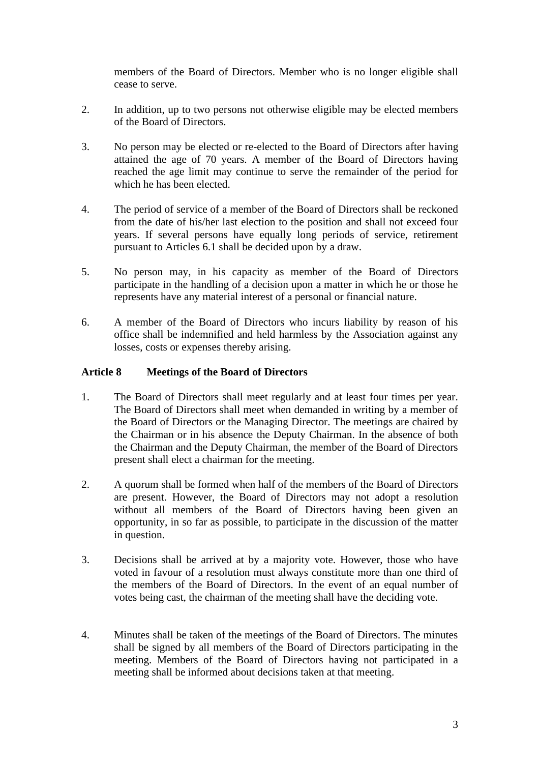members of the Board of Directors. Member who is no longer eligible shall cease to serve.

- 2. In addition, up to two persons not otherwise eligible may be elected members of the Board of Directors.
- 3. No person may be elected or re-elected to the Board of Directors after having attained the age of 70 years. A member of the Board of Directors having reached the age limit may continue to serve the remainder of the period for which he has been elected.
- 4. The period of service of a member of the Board of Directors shall be reckoned from the date of his/her last election to the position and shall not exceed four years. If several persons have equally long periods of service, retirement pursuant to Articles 6.1 shall be decided upon by a draw.
- 5. No person may, in his capacity as member of the Board of Directors participate in the handling of a decision upon a matter in which he or those he represents have any material interest of a personal or financial nature.
- 6. A member of the Board of Directors who incurs liability by reason of his office shall be indemnified and held harmless by the Association against any losses, costs or expenses thereby arising.

# **Article 8 Meetings of the Board of Directors**

- 1. The Board of Directors shall meet regularly and at least four times per year. The Board of Directors shall meet when demanded in writing by a member of the Board of Directors or the Managing Director. The meetings are chaired by the Chairman or in his absence the Deputy Chairman. In the absence of both the Chairman and the Deputy Chairman, the member of the Board of Directors present shall elect a chairman for the meeting.
- 2. A quorum shall be formed when half of the members of the Board of Directors are present. However, the Board of Directors may not adopt a resolution without all members of the Board of Directors having been given an opportunity, in so far as possible, to participate in the discussion of the matter in question.
- 3. Decisions shall be arrived at by a majority vote. However, those who have voted in favour of a resolution must always constitute more than one third of the members of the Board of Directors. In the event of an equal number of votes being cast, the chairman of the meeting shall have the deciding vote.
- 4. Minutes shall be taken of the meetings of the Board of Directors. The minutes shall be signed by all members of the Board of Directors participating in the meeting. Members of the Board of Directors having not participated in a meeting shall be informed about decisions taken at that meeting.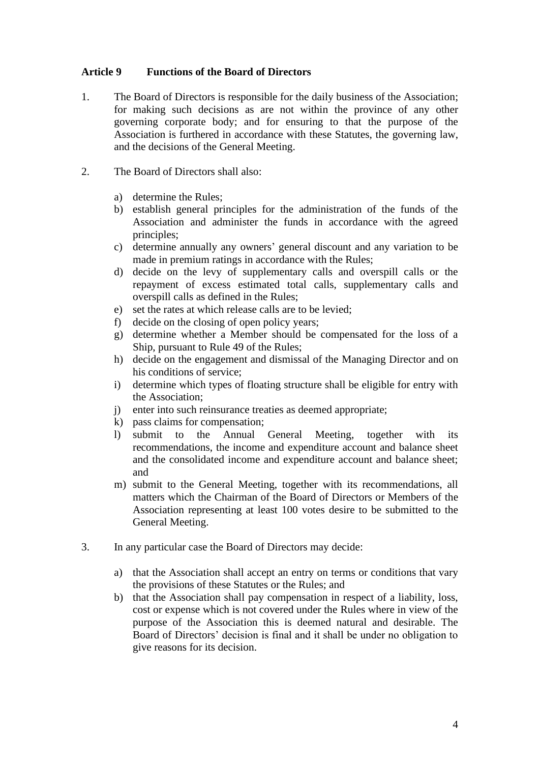# **Article 9 Functions of the Board of Directors**

- 1. The Board of Directors is responsible for the daily business of the Association; for making such decisions as are not within the province of any other governing corporate body; and for ensuring to that the purpose of the Association is furthered in accordance with these Statutes, the governing law, and the decisions of the General Meeting.
- 2. The Board of Directors shall also:
	- a) determine the Rules;
	- b) establish general principles for the administration of the funds of the Association and administer the funds in accordance with the agreed principles;
	- c) determine annually any owners' general discount and any variation to be made in premium ratings in accordance with the Rules;
	- d) decide on the levy of supplementary calls and overspill calls or the repayment of excess estimated total calls, supplementary calls and overspill calls as defined in the Rules;
	- e) set the rates at which release calls are to be levied;
	- f) decide on the closing of open policy years;
	- g) determine whether a Member should be compensated for the loss of a Ship, pursuant to Rule 49 of the Rules;
	- h) decide on the engagement and dismissal of the Managing Director and on his conditions of service;
	- i) determine which types of floating structure shall be eligible for entry with the Association;
	- j) enter into such reinsurance treaties as deemed appropriate;
	- k) pass claims for compensation;
	- l) submit to the Annual General Meeting, together with its recommendations, the income and expenditure account and balance sheet and the consolidated income and expenditure account and balance sheet; and
	- m) submit to the General Meeting, together with its recommendations, all matters which the Chairman of the Board of Directors or Members of the Association representing at least 100 votes desire to be submitted to the General Meeting.
- 3. In any particular case the Board of Directors may decide:
	- a) that the Association shall accept an entry on terms or conditions that vary the provisions of these Statutes or the Rules; and
	- b) that the Association shall pay compensation in respect of a liability, loss, cost or expense which is not covered under the Rules where in view of the purpose of the Association this is deemed natural and desirable. The Board of Directors' decision is final and it shall be under no obligation to give reasons for its decision.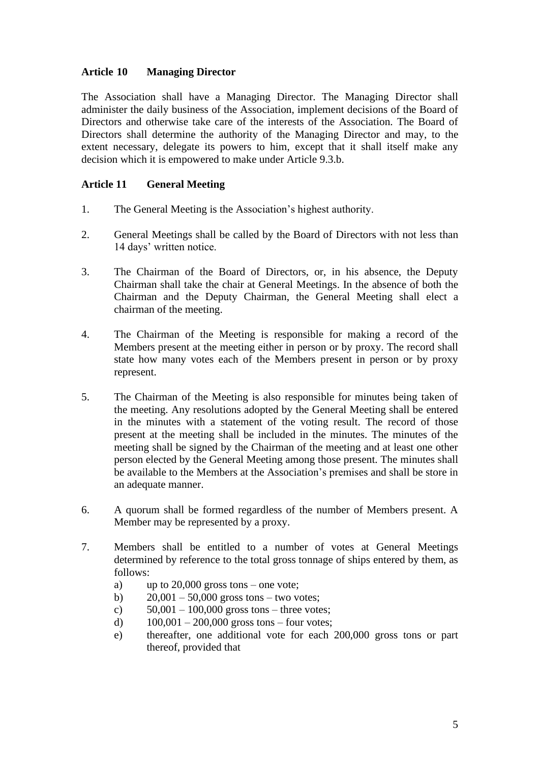# **Article 10 Managing Director**

The Association shall have a Managing Director. The Managing Director shall administer the daily business of the Association, implement decisions of the Board of Directors and otherwise take care of the interests of the Association. The Board of Directors shall determine the authority of the Managing Director and may, to the extent necessary, delegate its powers to him, except that it shall itself make any decision which it is empowered to make under Article 9.3.b.

# **Article 11 General Meeting**

- 1. The General Meeting is the Association's highest authority.
- 2. General Meetings shall be called by the Board of Directors with not less than 14 days' written notice.
- 3. The Chairman of the Board of Directors, or, in his absence, the Deputy Chairman shall take the chair at General Meetings. In the absence of both the Chairman and the Deputy Chairman, the General Meeting shall elect a chairman of the meeting.
- 4. The Chairman of the Meeting is responsible for making a record of the Members present at the meeting either in person or by proxy. The record shall state how many votes each of the Members present in person or by proxy represent.
- 5. The Chairman of the Meeting is also responsible for minutes being taken of the meeting. Any resolutions adopted by the General Meeting shall be entered in the minutes with a statement of the voting result. The record of those present at the meeting shall be included in the minutes. The minutes of the meeting shall be signed by the Chairman of the meeting and at least one other person elected by the General Meeting among those present. The minutes shall be available to the Members at the Association's premises and shall be store in an adequate manner.
- 6. A quorum shall be formed regardless of the number of Members present. A Member may be represented by a proxy.
- 7. Members shall be entitled to a number of votes at General Meetings determined by reference to the total gross tonnage of ships entered by them, as follows:
	- a) up to 20,000 gross tons one vote;
	- b)  $20,001 50,000$  gross tons two votes;
	- c)  $50,001 100,000$  gross tons three votes;
	- d)  $100,001 200,000$  gross tons four votes;
	- e) thereafter, one additional vote for each 200,000 gross tons or part thereof, provided that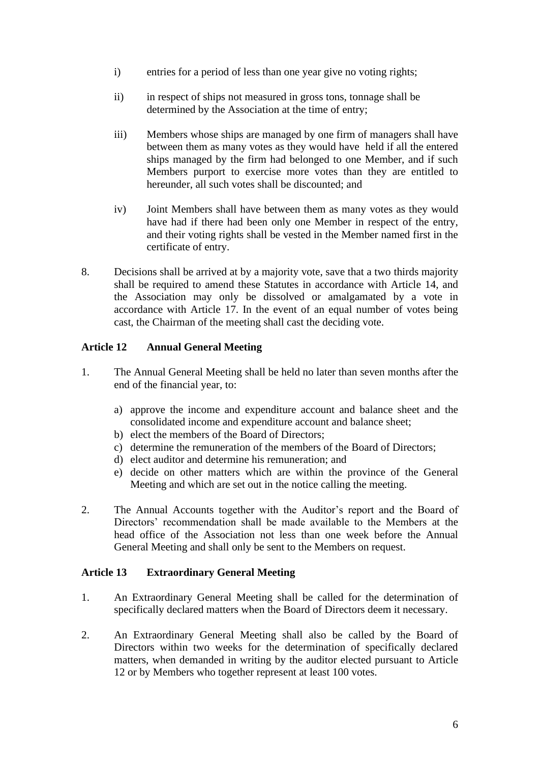- i) entries for a period of less than one year give no voting rights;
- ii) in respect of ships not measured in gross tons, tonnage shall be determined by the Association at the time of entry;
- iii) Members whose ships are managed by one firm of managers shall have between them as many votes as they would have held if all the entered ships managed by the firm had belonged to one Member, and if such Members purport to exercise more votes than they are entitled to hereunder, all such votes shall be discounted; and
- iv) Joint Members shall have between them as many votes as they would have had if there had been only one Member in respect of the entry, and their voting rights shall be vested in the Member named first in the certificate of entry.
- 8. Decisions shall be arrived at by a majority vote, save that a two thirds majority shall be required to amend these Statutes in accordance with Article 14, and the Association may only be dissolved or amalgamated by a vote in accordance with Article 17. In the event of an equal number of votes being cast, the Chairman of the meeting shall cast the deciding vote.

# **Article 12 Annual General Meeting**

- 1. The Annual General Meeting shall be held no later than seven months after the end of the financial year, to:
	- a) approve the income and expenditure account and balance sheet and the consolidated income and expenditure account and balance sheet;
	- b) elect the members of the Board of Directors;
	- c) determine the remuneration of the members of the Board of Directors;
	- d) elect auditor and determine his remuneration; and
	- e) decide on other matters which are within the province of the General Meeting and which are set out in the notice calling the meeting.
- 2. The Annual Accounts together with the Auditor's report and the Board of Directors' recommendation shall be made available to the Members at the head office of the Association not less than one week before the Annual General Meeting and shall only be sent to the Members on request.

## **Article 13 Extraordinary General Meeting**

- 1. An Extraordinary General Meeting shall be called for the determination of specifically declared matters when the Board of Directors deem it necessary.
- 2. An Extraordinary General Meeting shall also be called by the Board of Directors within two weeks for the determination of specifically declared matters, when demanded in writing by the auditor elected pursuant to Article 12 or by Members who together represent at least 100 votes.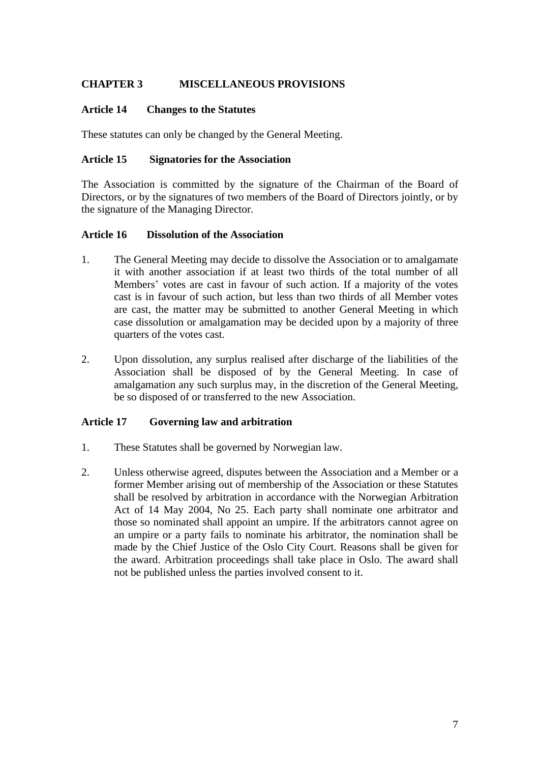# **CHAPTER 3 MISCELLANEOUS PROVISIONS**

## **Article 14 Changes to the Statutes**

These statutes can only be changed by the General Meeting.

# **Article 15 Signatories for the Association**

The Association is committed by the signature of the Chairman of the Board of Directors, or by the signatures of two members of the Board of Directors jointly, or by the signature of the Managing Director.

## **Article 16 Dissolution of the Association**

- 1. The General Meeting may decide to dissolve the Association or to amalgamate it with another association if at least two thirds of the total number of all Members' votes are cast in favour of such action. If a majority of the votes cast is in favour of such action, but less than two thirds of all Member votes are cast, the matter may be submitted to another General Meeting in which case dissolution or amalgamation may be decided upon by a majority of three quarters of the votes cast.
- 2. Upon dissolution, any surplus realised after discharge of the liabilities of the Association shall be disposed of by the General Meeting. In case of amalgamation any such surplus may, in the discretion of the General Meeting, be so disposed of or transferred to the new Association.

# **Article 17 Governing law and arbitration**

- 1. These Statutes shall be governed by Norwegian law.
- 2. Unless otherwise agreed, disputes between the Association and a Member or a former Member arising out of membership of the Association or these Statutes shall be resolved by arbitration in accordance with the Norwegian Arbitration Act of 14 May 2004, No 25. Each party shall nominate one arbitrator and those so nominated shall appoint an umpire. If the arbitrators cannot agree on an umpire or a party fails to nominate his arbitrator, the nomination shall be made by the Chief Justice of the Oslo City Court. Reasons shall be given for the award. Arbitration proceedings shall take place in Oslo. The award shall not be published unless the parties involved consent to it.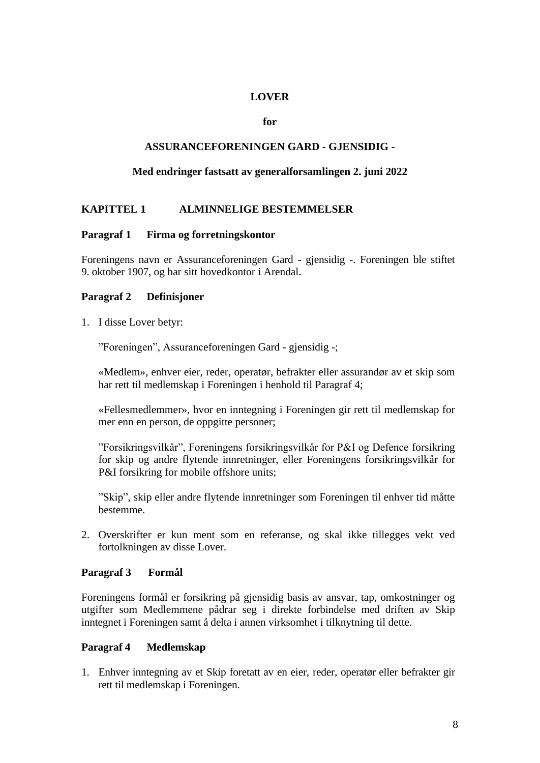### **LOVER**

#### **for**

### **ASSURANCEFORENINGEN GARD - GJENSIDIG -**

### **Med endringer fastsatt av generalforsamlingen 2. juni 2022**

# **KAPITTEL 1 ALMINNELIGE BESTEMMELSER**

### **Paragraf 1 Firma og forretningskontor**

Foreningens navn er Assuranceforeningen Gard - gjensidig -. Foreningen ble stiftet 9. oktober 1907, og har sitt hovedkontor i Arendal.

### **Paragraf 2 Definisjoner**

1. I disse Lover betyr:

"Foreningen", Assuranceforeningen Gard - gjensidig -;

«Medlem», enhver eier, reder, operatør, befrakter eller assurandør av et skip som har rett til medlemskap i Foreningen i henhold til Paragraf 4;

«Fellesmedlemmer», hvor en inntegning i Foreningen gir rett til medlemskap for mer enn en person, de oppgitte personer;

"Forsikringsvilkår", Foreningens forsikringsvilkår for P&I og Defence forsikring for skip og andre flytende innretninger, eller Foreningens forsikringsvilkår for P&I forsikring for mobile offshore units;

"Skip", skip eller andre flytende innretninger som Foreningen til enhver tid måtte bestemme.

2. Overskrifter er kun ment som en referanse, og skal ikke tillegges vekt ved fortolkningen av disse Lover.

## **Paragraf 3 Formål**

Foreningens formål er forsikring på gjensidig basis av ansvar, tap, omkostninger og utgifter som Medlemmene pådrar seg i direkte forbindelse med driften av Skip inntegnet i Foreningen samt å delta i annen virksomhet i tilknytning til dette.

#### **Paragraf 4 Medlemskap**

1. Enhver inntegning av et Skip foretatt av en eier, reder, operatør eller befrakter gir rett til medlemskap i Foreningen.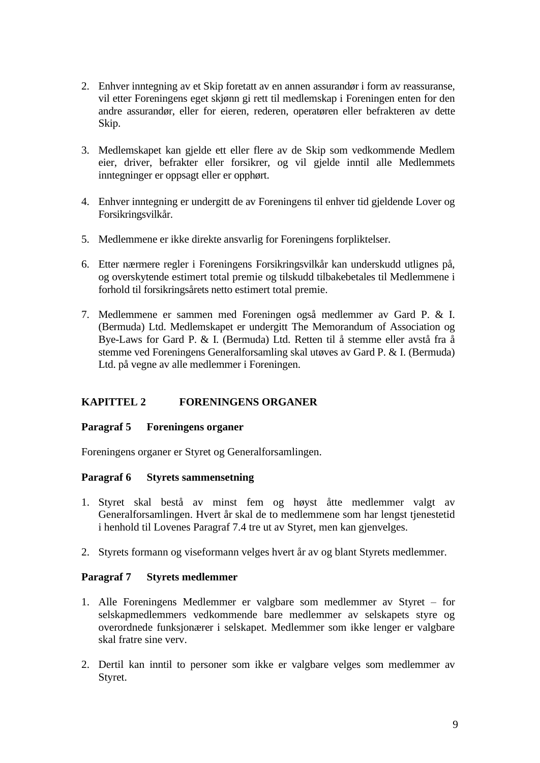- 2. Enhver inntegning av et Skip foretatt av en annen assurandør i form av reassuranse, vil etter Foreningens eget skjønn gi rett til medlemskap i Foreningen enten for den andre assurandør, eller for eieren, rederen, operatøren eller befrakteren av dette Skip.
- 3. Medlemskapet kan gjelde ett eller flere av de Skip som vedkommende Medlem eier, driver, befrakter eller forsikrer, og vil gjelde inntil alle Medlemmets inntegninger er oppsagt eller er opphørt.
- 4. Enhver inntegning er undergitt de av Foreningens til enhver tid gjeldende Lover og Forsikringsvilkår.
- 5. Medlemmene er ikke direkte ansvarlig for Foreningens forpliktelser.
- 6. Etter nærmere regler i Foreningens Forsikringsvilkår kan underskudd utlignes på, og overskytende estimert total premie og tilskudd tilbakebetales til Medlemmene i forhold til forsikringsårets netto estimert total premie.
- 7. Medlemmene er sammen med Foreningen også medlemmer av Gard P. & I. (Bermuda) Ltd. Medlemskapet er undergitt The Memorandum of Association og Bye-Laws for Gard P. & I. (Bermuda) Ltd. Retten til å stemme eller avstå fra å stemme ved Foreningens Generalforsamling skal utøves av Gard P. & I. (Bermuda) Ltd. på vegne av alle medlemmer i Foreningen.

# **KAPITTEL 2 FORENINGENS ORGANER**

## **Paragraf 5 Foreningens organer**

Foreningens organer er Styret og Generalforsamlingen.

## **Paragraf 6 Styrets sammensetning**

- 1. Styret skal bestå av minst fem og høyst åtte medlemmer valgt av Generalforsamlingen. Hvert år skal de to medlemmene som har lengst tjenestetid i henhold til Lovenes Paragraf 7.4 tre ut av Styret, men kan gjenvelges.
- 2. Styrets formann og viseformann velges hvert år av og blant Styrets medlemmer.

## **Paragraf 7 Styrets medlemmer**

- 1. Alle Foreningens Medlemmer er valgbare som medlemmer av Styret for selskapmedlemmers vedkommende bare medlemmer av selskapets styre og overordnede funksjonærer i selskapet. Medlemmer som ikke lenger er valgbare skal fratre sine verv.
- 2. Dertil kan inntil to personer som ikke er valgbare velges som medlemmer av Styret.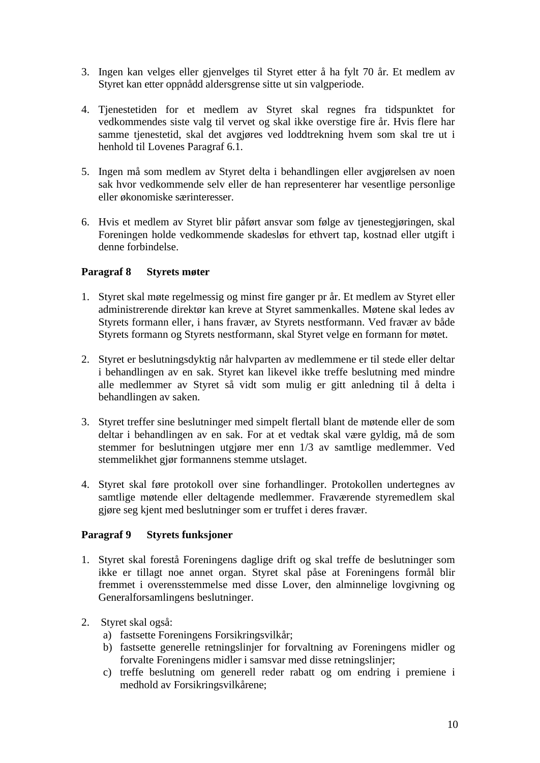- 3. Ingen kan velges eller gjenvelges til Styret etter å ha fylt 70 år. Et medlem av Styret kan etter oppnådd aldersgrense sitte ut sin valgperiode.
- 4. Tjenestetiden for et medlem av Styret skal regnes fra tidspunktet for vedkommendes siste valg til vervet og skal ikke overstige fire år. Hvis flere har samme tjenestetid, skal det avgjøres ved loddtrekning hvem som skal tre ut i henhold til Lovenes Paragraf 6.1.
- 5. Ingen må som medlem av Styret delta i behandlingen eller avgjørelsen av noen sak hvor vedkommende selv eller de han representerer har vesentlige personlige eller økonomiske særinteresser.
- 6. Hvis et medlem av Styret blir påført ansvar som følge av tjenestegjøringen, skal Foreningen holde vedkommende skadesløs for ethvert tap, kostnad eller utgift i denne forbindelse.

# **Paragraf 8 Styrets møter**

- 1. Styret skal møte regelmessig og minst fire ganger pr år. Et medlem av Styret eller administrerende direktør kan kreve at Styret sammenkalles. Møtene skal ledes av Styrets formann eller, i hans fravær, av Styrets nestformann. Ved fravær av både Styrets formann og Styrets nestformann, skal Styret velge en formann for møtet.
- 2. Styret er beslutningsdyktig når halvparten av medlemmene er til stede eller deltar i behandlingen av en sak. Styret kan likevel ikke treffe beslutning med mindre alle medlemmer av Styret så vidt som mulig er gitt anledning til å delta i behandlingen av saken.
- 3. Styret treffer sine beslutninger med simpelt flertall blant de møtende eller de som deltar i behandlingen av en sak. For at et vedtak skal være gyldig, må de som stemmer for beslutningen utgjøre mer enn 1/3 av samtlige medlemmer. Ved stemmelikhet gjør formannens stemme utslaget.
- 4. Styret skal føre protokoll over sine forhandlinger. Protokollen undertegnes av samtlige møtende eller deltagende medlemmer. Fraværende styremedlem skal gjøre seg kjent med beslutninger som er truffet i deres fravær.

## **Paragraf 9 Styrets funksjoner**

- 1. Styret skal forestå Foreningens daglige drift og skal treffe de beslutninger som ikke er tillagt noe annet organ. Styret skal påse at Foreningens formål blir fremmet i overensstemmelse med disse Lover, den alminnelige lovgivning og Generalforsamlingens beslutninger.
- 2. Styret skal også:
	- a) fastsette Foreningens Forsikringsvilkår;
	- b) fastsette generelle retningslinjer for forvaltning av Foreningens midler og forvalte Foreningens midler i samsvar med disse retningslinjer;
	- c) treffe beslutning om generell reder rabatt og om endring i premiene i medhold av Forsikringsvilkårene;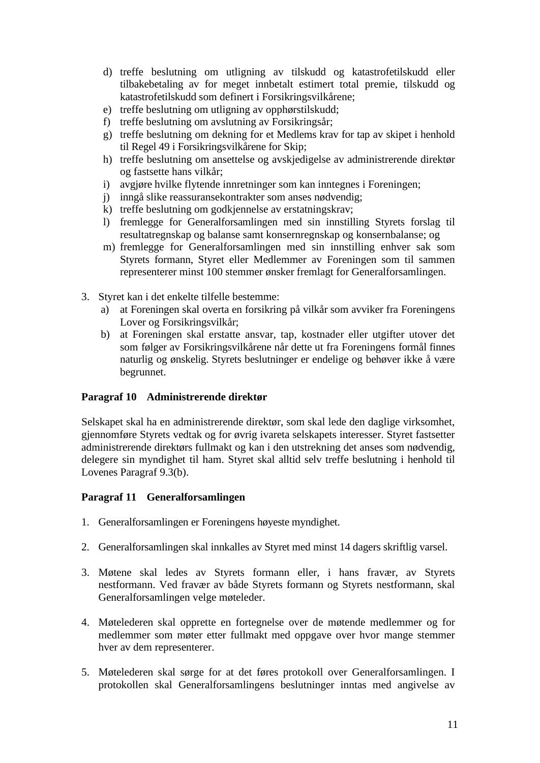- d) treffe beslutning om utligning av tilskudd og katastrofetilskudd eller tilbakebetaling av for meget innbetalt estimert total premie, tilskudd og katastrofetilskudd som definert i Forsikringsvilkårene;
- e) treffe beslutning om utligning av opphørstilskudd;
- f) treffe beslutning om avslutning av Forsikringsår;
- g) treffe beslutning om dekning for et Medlems krav for tap av skipet i henhold til Regel 49 i Forsikringsvilkårene for Skip;
- h) treffe beslutning om ansettelse og avskjedigelse av administrerende direktør og fastsette hans vilkår;
- i) avgjøre hvilke flytende innretninger som kan inntegnes i Foreningen;
- j) inngå slike reassuransekontrakter som anses nødvendig;
- k) treffe beslutning om godkjennelse av erstatningskrav;
- l) fremlegge for Generalforsamlingen med sin innstilling Styrets forslag til resultatregnskap og balanse samt konsernregnskap og konsernbalanse; og
- m) fremlegge for Generalforsamlingen med sin innstilling enhver sak som Styrets formann, Styret eller Medlemmer av Foreningen som til sammen representerer minst 100 stemmer ønsker fremlagt for Generalforsamlingen.
- 3. Styret kan i det enkelte tilfelle bestemme:
	- a) at Foreningen skal overta en forsikring på vilkår som avviker fra Foreningens Lover og Forsikringsvilkår;
	- b) at Foreningen skal erstatte ansvar, tap, kostnader eller utgifter utover det som følger av Forsikringsvilkårene når dette ut fra Foreningens formål finnes naturlig og ønskelig. Styrets beslutninger er endelige og behøver ikke å være begrunnet.

## **Paragraf 10 Administrerende direktør**

Selskapet skal ha en administrerende direktør, som skal lede den daglige virksomhet, gjennomføre Styrets vedtak og for øvrig ivareta selskapets interesser. Styret fastsetter administrerende direktørs fullmakt og kan i den utstrekning det anses som nødvendig, delegere sin myndighet til ham. Styret skal alltid selv treffe beslutning i henhold til Lovenes Paragraf 9.3(b).

## **Paragraf 11 Generalforsamlingen**

- 1. Generalforsamlingen er Foreningens høyeste myndighet.
- 2. Generalforsamlingen skal innkalles av Styret med minst 14 dagers skriftlig varsel.
- 3. Møtene skal ledes av Styrets formann eller, i hans fravær, av Styrets nestformann. Ved fravær av både Styrets formann og Styrets nestformann, skal Generalforsamlingen velge møteleder.
- 4. Møtelederen skal opprette en fortegnelse over de møtende medlemmer og for medlemmer som møter etter fullmakt med oppgave over hvor mange stemmer hver av dem representerer.
- 5. Møtelederen skal sørge for at det føres protokoll over Generalforsamlingen. I protokollen skal Generalforsamlingens beslutninger inntas med angivelse av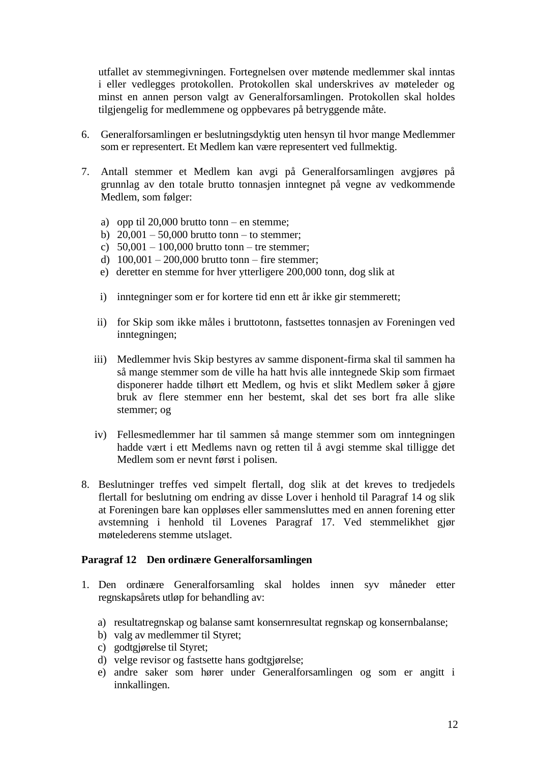utfallet av stemmegivningen. Fortegnelsen over møtende medlemmer skal inntas i eller vedlegges protokollen. Protokollen skal underskrives av møteleder og minst en annen person valgt av Generalforsamlingen. Protokollen skal holdes tilgjengelig for medlemmene og oppbevares på betryggende måte.

- 6. Generalforsamlingen er beslutningsdyktig uten hensyn til hvor mange Medlemmer som er representert. Et Medlem kan være representert ved fullmektig.
- 7. Antall stemmer et Medlem kan avgi på Generalforsamlingen avgjøres på grunnlag av den totale brutto tonnasjen inntegnet på vegne av vedkommende Medlem, som følger:
	- a) opp til 20,000 brutto tonn en stemme;
	- b)  $20,001 50,000$  brutto tonn to stemmer;
	- c)  $50,001 100,000$  brutto tonn tre stemmer:
	- d)  $100,001 200,000$  brutto tonn fire stemmer;
	- e) deretter en stemme for hver ytterligere 200,000 tonn, dog slik at
	- i) inntegninger som er for kortere tid enn ett år ikke gir stemmerett;
	- ii) for Skip som ikke måles i bruttotonn, fastsettes tonnasjen av Foreningen ved inntegningen;
	- iii) Medlemmer hvis Skip bestyres av samme disponent-firma skal til sammen ha så mange stemmer som de ville ha hatt hvis alle inntegnede Skip som firmaet disponerer hadde tilhørt ett Medlem, og hvis et slikt Medlem søker å gjøre bruk av flere stemmer enn her bestemt, skal det ses bort fra alle slike stemmer; og
	- iv) Fellesmedlemmer har til sammen så mange stemmer som om inntegningen hadde vært i ett Medlems navn og retten til å avgi stemme skal tilligge det Medlem som er nevnt først i polisen.
- 8. Beslutninger treffes ved simpelt flertall, dog slik at det kreves to tredjedels flertall for beslutning om endring av disse Lover i henhold til Paragraf 14 og slik at Foreningen bare kan oppløses eller sammensluttes med en annen forening etter avstemning i henhold til Lovenes Paragraf 17. Ved stemmelikhet gjør møtelederens stemme utslaget.

#### **Paragraf 12 Den ordinære Generalforsamlingen**

- 1. Den ordinære Generalforsamling skal holdes innen syv måneder etter regnskapsårets utløp for behandling av:
	- a) resultatregnskap og balanse samt konsernresultat regnskap og konsernbalanse;
	- b) valg av medlemmer til Styret;
	- c) godtgjørelse til Styret;
	- d) velge revisor og fastsette hans godtgjørelse;
	- e) andre saker som hører under Generalforsamlingen og som er angitt i innkallingen.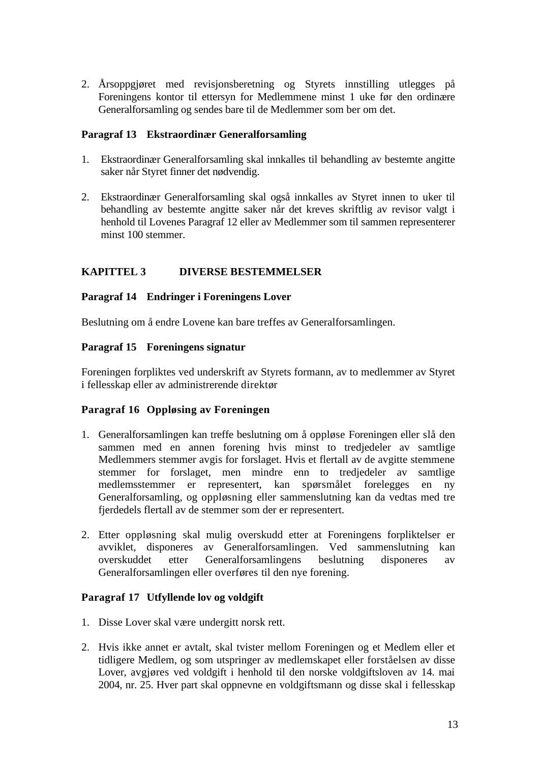2. Årsoppgjøret med revisjonsberetning og Styrets innstilling utlegges på Foreningens kontor til ettersyn for Medlemmene minst 1 uke før den ordinære Generalforsamling og sendes bare til de Medlemmer som ber om det.

## **Paragraf 13 Ekstraordinær Generalforsamling**

- 1. Ekstraordinær Generalforsamling skal innkalles til behandling av bestemte angitte saker når Styret finner det nødvendig.
- 2. Ekstraordinær Generalforsamling skal også innkalles av Styret innen to uker til behandling av bestemte angitte saker når det kreves skriftlig av revisor valgt i henhold til Lovenes Paragraf 12 eller av Medlemmer som til sammen representerer minst 100 stemmer.

# **KAPITTEL 3 DIVERSE BESTEMMELSER**

# **Paragraf 14 Endringer i Foreningens Lover**

Beslutning om å endre Lovene kan bare treffes av Generalforsamlingen.

# **Paragraf 15 Foreningens signatur**

Foreningen forpliktes ved underskrift av Styrets formann, av to medlemmer av Styret i fellesskap eller av administrerende direktør

# **Paragraf 16 Oppløsing av Foreningen**

- 1. Generalforsamlingen kan treffe beslutning om å oppløse Foreningen eller slå den sammen med en annen forening hvis minst to tredjedeler av samtlige Medlemmers stemmer avgis for forslaget. Hvis et flertall av de avgitte stemmene stemmer for forslaget, men mindre enn to tredjedeler av samtlige medlemsstemmer er representert, kan spørsmålet forelegges en ny Generalforsamling, og oppløsning eller sammenslutning kan da vedtas med tre fjerdedels flertall av de stemmer som der er representert.
- 2. Etter oppløsning skal mulig overskudd etter at Foreningens forpliktelser er avviklet, disponeres av Generalforsamlingen. Ved sammenslutning kan overskuddet etter Generalforsamlingens beslutning disponeres av Generalforsamlingen eller overføres til den nye forening.

## **Paragraf 17 Utfyllende lov og voldgift**

- 1. Disse Lover skal være undergitt norsk rett.
- 2. Hvis ikke annet er avtalt, skal tvister mellom Foreningen og et Medlem eller et tidligere Medlem, og som utspringer av medlemskapet eller forståelsen av disse Lover, avgjøres ved voldgift i henhold til den norske voldgiftsloven av 14. mai 2004, nr. 25. Hver part skal oppnevne en voldgiftsmann og disse skal i fellesskap